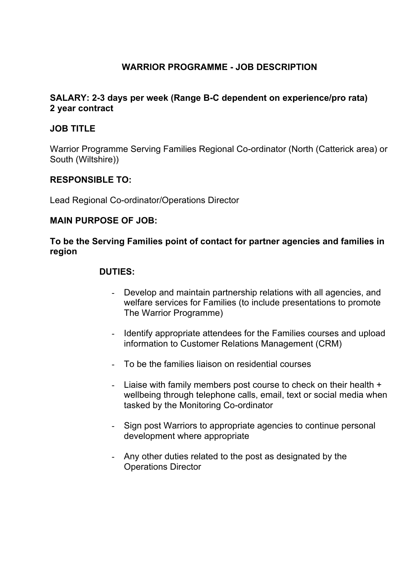# **WARRIOR PROGRAMME - JOB DESCRIPTION**

### **SALARY: 2-3 days per week (Range B-C dependent on experience/pro rata) 2 year contract**

## **JOB TITLE**

Warrior Programme Serving Families Regional Co-ordinator (North (Catterick area) or South (Wiltshire))

#### **RESPONSIBLE TO:**

Lead Regional Co-ordinator/Operations Director

#### **MAIN PURPOSE OF JOB:**

### **To be the Serving Families point of contact for partner agencies and families in region**

#### **DUTIES:**

- Develop and maintain partnership relations with all agencies, and welfare services for Families (to include presentations to promote The Warrior Programme)
- Identify appropriate attendees for the Families courses and upload information to Customer Relations Management (CRM)
- To be the families liaison on residential courses
- Liaise with family members post course to check on their health + wellbeing through telephone calls, email, text or social media when tasked by the Monitoring Co-ordinator
- Sign post Warriors to appropriate agencies to continue personal development where appropriate
- Any other duties related to the post as designated by the Operations Director